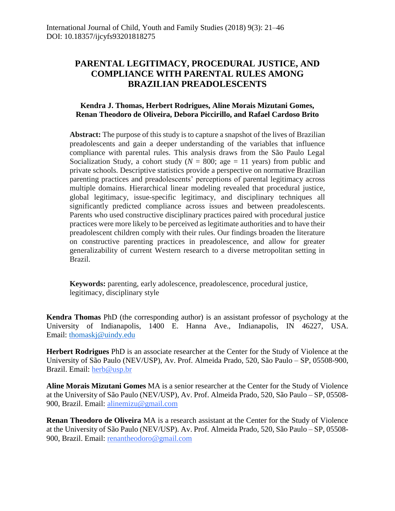# **PARENTAL LEGITIMACY, PROCEDURAL JUSTICE, AND COMPLIANCE WITH PARENTAL RULES AMONG BRAZILIAN PREADOLESCENTS**

# **Kendra J. Thomas, Herbert Rodrigues, Aline Morais Mizutani Gomes, Renan Theodoro de Oliveira, Debora Piccirillo, and Rafael Cardoso Brito**

**Abstract:** The purpose of this study is to capture a snapshot of the lives of Brazilian preadolescents and gain a deeper understanding of the variables that influence compliance with parental rules. This analysis draws from the São Paulo Legal Socialization Study, a cohort study  $(N = 800; \text{ age} = 11 \text{ years})$  from public and private schools. Descriptive statistics provide a perspective on normative Brazilian parenting practices and preadolescents' perceptions of parental legitimacy across multiple domains. Hierarchical linear modeling revealed that procedural justice, global legitimacy, issue-specific legitimacy, and disciplinary techniques all significantly predicted compliance across issues and between preadolescents. Parents who used constructive disciplinary practices paired with procedural justice practices were more likely to be perceived as legitimate authorities and to have their preadolescent children comply with their rules. Our findings broaden the literature on constructive parenting practices in preadolescence, and allow for greater generalizability of current Western research to a diverse metropolitan setting in Brazil.

**Keywords:** parenting, early adolescence, preadolescence, procedural justice, legitimacy, disciplinary style

**Kendra Thomas** PhD (the corresponding author) is an assistant professor of psychology at the University of Indianapolis, 1400 E. Hanna Ave., Indianapolis, IN 46227, USA. Email: [thomaskj@uindy.edu](mailto:thomaskj@uindy.edu)

**Herbert Rodrigues** PhD is an associate researcher at the Center for the Study of Violence at the University of São Paulo (NEV/USP), Av. Prof. Almeida Prado, 520, São Paulo – SP, 05508-900, Brazil. Email: [herb@usp.br](mailto:herb@usp.br)

**Aline Morais Mizutani Gomes** MA is a senior researcher at the Center for the Study of Violence at the University of São Paulo (NEV/USP), Av. Prof. Almeida Prado, 520, São Paulo – SP, 05508- 900, Brazil. Email: [alinemizu@gmail.com](mailto:alinemizu@gmail.com)

**Renan Theodoro de Oliveira** MA is a research assistant at the Center for the Study of Violence at the University of São Paulo (NEV/USP). Av. Prof. Almeida Prado, 520, São Paulo – SP, 05508- 900, Brazil. Email: [renantheodoro@gmail.com](mailto:renantheodoro@gmail.com)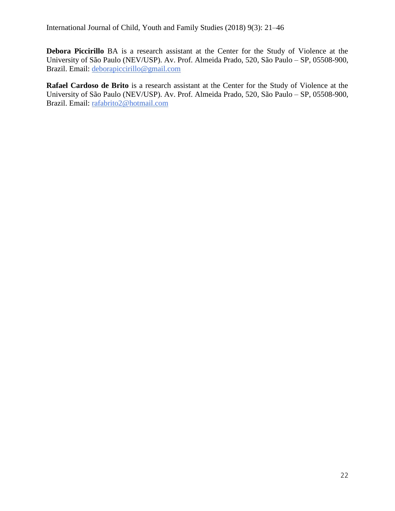**Debora Piccirillo** BA is a research assistant at the Center for the Study of Violence at the University of São Paulo (NEV/USP). Av. Prof. Almeida Prado, 520, São Paulo – SP, 05508-900, Brazil. Email: [deborapiccirillo@gmail.com](mailto:deborapiccirillo@gmail.com)

**Rafael Cardoso de Brito** is a research assistant at the Center for the Study of Violence at the University of São Paulo (NEV/USP). Av. Prof. Almeida Prado, 520, São Paulo – SP, 05508-900, Brazil. Email: [rafabrito2@hotmail.com](mailto:rafabrito2@hotmail.com)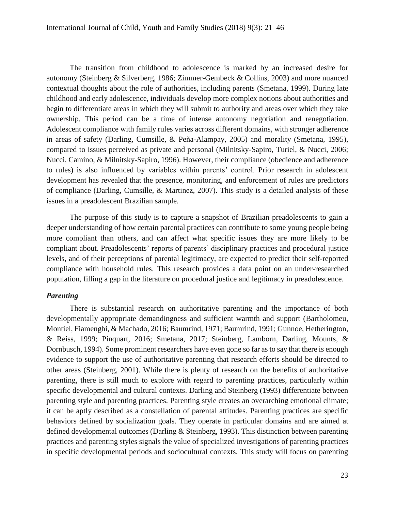The transition from childhood to adolescence is marked by an increased desire for autonomy (Steinberg & Silverberg, 1986; Zimmer-Gembeck & Collins, 2003) and more nuanced contextual thoughts about the role of authorities, including parents (Smetana, 1999). During late childhood and early adolescence, individuals develop more complex notions about authorities and begin to differentiate areas in which they will submit to authority and areas over which they take ownership. This period can be a time of intense autonomy negotiation and renegotiation. Adolescent compliance with family rules varies across different domains, with stronger adherence in areas of safety (Darling, Cumsille, & Peña-Alampay, 2005) and morality (Smetana, 1995), compared to issues perceived as private and personal (Milnitsky-Sapiro, Turiel, & Nucci, 2006; Nucci, Camino, & Milnitsky-Sapiro, 1996). However, their compliance (obedience and adherence to rules) is also influenced by variables within parents' control. Prior research in adolescent development has revealed that the presence, monitoring, and enforcement of rules are predictors of compliance (Darling, Cumsille, & Martinez, 2007). This study is a detailed analysis of these issues in a preadolescent Brazilian sample.

The purpose of this study is to capture a snapshot of Brazilian preadolescents to gain a deeper understanding of how certain parental practices can contribute to some young people being more compliant than others, and can affect what specific issues they are more likely to be compliant about. Preadolescents' reports of parents' disciplinary practices and procedural justice levels, and of their perceptions of parental legitimacy, are expected to predict their self-reported compliance with household rules. This research provides a data point on an under-researched population, filling a gap in the literature on procedural justice and legitimacy in preadolescence.

### *Parenting*

There is substantial research on authoritative parenting and the importance of both developmentally appropriate demandingness and sufficient warmth and support (Bartholomeu, Montiel, Fiamenghi, & Machado, 2016; Baumrind, 1971; Baumrind, 1991; Gunnoe, Hetherington, & Reiss, 1999; Pinquart, 2016; Smetana, 2017; Steinberg, Lamborn, Darling, Mounts, & Dornbusch, 1994). Some prominent researchers have even gone so far as to say that there is enough evidence to support the use of authoritative parenting that research efforts should be directed to other areas (Steinberg, 2001). While there is plenty of research on the benefits of authoritative parenting, there is still much to explore with regard to parenting practices, particularly within specific developmental and cultural contexts. Darling and Steinberg (1993) differentiate between parenting style and parenting practices. Parenting style creates an overarching emotional climate; it can be aptly described as a constellation of parental attitudes. Parenting practices are specific behaviors defined by socialization goals. They operate in particular domains and are aimed at defined developmental outcomes (Darling & Steinberg, 1993). This distinction between parenting practices and parenting styles signals the value of specialized investigations of parenting practices in specific developmental periods and sociocultural contexts. This study will focus on parenting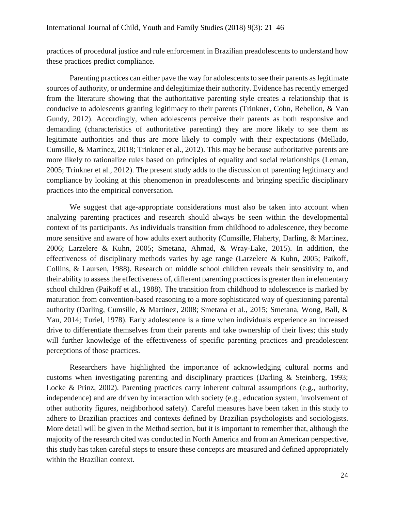practices of procedural justice and rule enforcement in Brazilian preadolescents to understand how these practices predict compliance.

Parenting practices can either pave the way for adolescents to see their parents as legitimate sources of authority, or undermine and delegitimize their authority. Evidence has recently emerged from the literature showing that the authoritative parenting style creates a relationship that is conducive to adolescents granting legitimacy to their parents (Trinkner, Cohn, Rebellon, & Van Gundy, 2012). Accordingly, when adolescents perceive their parents as both responsive and demanding (characteristics of authoritative parenting) they are more likely to see them as legitimate authorities and thus are more likely to comply with their expectations (Mellado, Cumsille, & Martínez, 2018; Trinkner et al., 2012). This may be because authoritative parents are more likely to rationalize rules based on principles of equality and social relationships (Leman, 2005; Trinkner et al., 2012). The present study adds to the discussion of parenting legitimacy and compliance by looking at this phenomenon in preadolescents and bringing specific disciplinary practices into the empirical conversation.

We suggest that age-appropriate considerations must also be taken into account when analyzing parenting practices and research should always be seen within the developmental context of its participants. As individuals transition from childhood to adolescence, they become more sensitive and aware of how adults exert authority (Cumsille, Flaherty, Darling, & Martinez, 2006; Larzelere & Kuhn, 2005; Smetana, Ahmad, & Wray-Lake, 2015). In addition, the effectiveness of disciplinary methods varies by age range (Larzelere & Kuhn, 2005; Paikoff, Collins, & Laursen, 1988). Research on middle school children reveals their sensitivity to, and their ability to assess the effectiveness of, different parenting practices is greater than in elementary school children (Paikoff et al., 1988). The transition from childhood to adolescence is marked by maturation from convention-based reasoning to a more sophisticated way of questioning parental authority (Darling, Cumsille, & Martinez, 2008; Smetana et al., 2015; Smetana, Wong, Ball, & Yau, 2014; Turiel, 1978). Early adolescence is a time when individuals experience an increased drive to differentiate themselves from their parents and take ownership of their lives; this study will further knowledge of the effectiveness of specific parenting practices and preadolescent perceptions of those practices.

Researchers have highlighted the importance of acknowledging cultural norms and customs when investigating parenting and disciplinary practices (Darling & Steinberg, 1993; Locke & Prinz, 2002). Parenting practices carry inherent cultural assumptions (e.g., authority, independence) and are driven by interaction with society (e.g., education system, involvement of other authority figures, neighborhood safety). Careful measures have been taken in this study to adhere to Brazilian practices and contexts defined by Brazilian psychologists and sociologists. More detail will be given in the Method section, but it is important to remember that, although the majority of the research cited was conducted in North America and from an American perspective, this study has taken careful steps to ensure these concepts are measured and defined appropriately within the Brazilian context.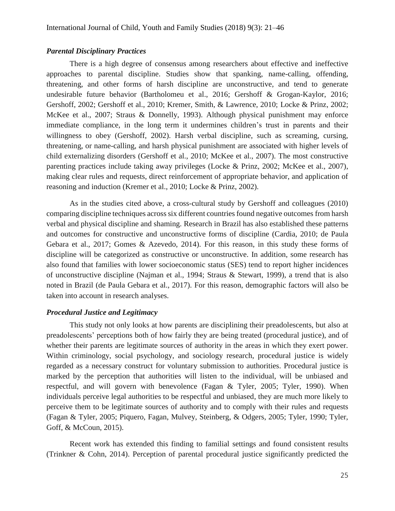### *Parental Disciplinary Practices*

There is a high degree of consensus among researchers about effective and ineffective approaches to parental discipline. Studies show that spanking, name-calling, offending, threatening, and other forms of harsh discipline are unconstructive, and tend to generate undesirable future behavior (Bartholomeu et al., 2016; Gershoff & Grogan-Kaylor, 2016; Gershoff, 2002; Gershoff et al., 2010; Kremer, Smith, & Lawrence, 2010; Locke & Prinz, 2002; McKee et al., 2007; Straus & Donnelly, 1993). Although physical punishment may enforce immediate compliance, in the long term it undermines children's trust in parents and their willingness to obey (Gershoff, 2002). Harsh verbal discipline, such as screaming, cursing, threatening, or name-calling, and harsh physical punishment are associated with higher levels of child externalizing disorders (Gershoff et al., 2010; McKee et al., 2007). The most constructive parenting practices include taking away privileges (Locke & Prinz, 2002; McKee et al., 2007), making clear rules and requests, direct reinforcement of appropriate behavior, and application of reasoning and induction (Kremer et al., 2010; Locke & Prinz, 2002).

As in the studies cited above, a cross-cultural study by Gershoff and colleagues (2010) comparing discipline techniques across six different countries found negative outcomes from harsh verbal and physical discipline and shaming. Research in Brazil has also established these patterns and outcomes for constructive and unconstructive forms of discipline (Cardia, 2010; de Paula Gebara et al., 2017; Gomes & Azevedo, 2014). For this reason, in this study these forms of discipline will be categorized as constructive or unconstructive. In addition, some research has also found that families with lower socioeconomic status (SES) tend to report higher incidences of unconstructive discipline (Najman et al., 1994; Straus & Stewart, 1999), a trend that is also noted in Brazil (de Paula Gebara et al., 2017). For this reason, demographic factors will also be taken into account in research analyses.

### *Procedural Justice and Legitimacy*

This study not only looks at how parents are disciplining their preadolescents, but also at preadolescents' perceptions both of how fairly they are being treated (procedural justice), and of whether their parents are legitimate sources of authority in the areas in which they exert power. Within criminology, social psychology, and sociology research, procedural justice is widely regarded as a necessary construct for voluntary submission to authorities. Procedural justice is marked by the perception that authorities will listen to the individual, will be unbiased and respectful, and will govern with benevolence (Fagan & Tyler, 2005; Tyler, 1990). When individuals perceive legal authorities to be respectful and unbiased, they are much more likely to perceive them to be legitimate sources of authority and to comply with their rules and requests (Fagan & Tyler, 2005; Piquero, Fagan, Mulvey, Steinberg, & Odgers, 2005; Tyler, 1990; Tyler, Goff, & McCoun, 2015).

Recent work has extended this finding to familial settings and found consistent results (Trinkner & Cohn, 2014). Perception of parental procedural justice significantly predicted the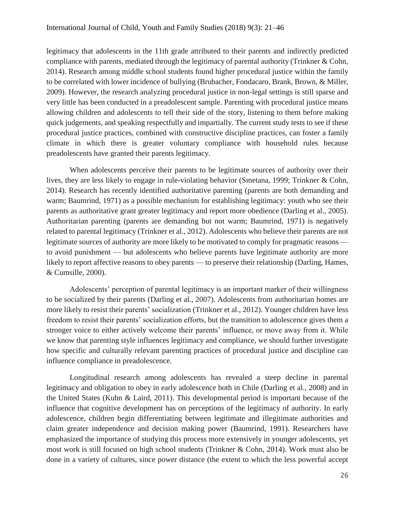legitimacy that adolescents in the 11th grade attributed to their parents and indirectly predicted compliance with parents, mediated through the legitimacy of parental authority (Trinkner & Cohn, 2014). Research among middle school students found higher procedural justice within the family to be correlated with lower incidence of bullying (Brubacher, Fondacaro, Brank, Brown, & Miller, 2009). However, the research analyzing procedural justice in non-legal settings is still sparse and very little has been conducted in a preadolescent sample. Parenting with procedural justice means allowing children and adolescents to tell their side of the story, listening to them before making quick judgements, and speaking respectfully and impartially. The current study tests to see if these procedural justice practices, combined with constructive discipline practices, can foster a family climate in which there is greater voluntary compliance with household rules because preadolescents have granted their parents legitimacy.

When adolescents perceive their parents to be legitimate sources of authority over their lives, they are less likely to engage in rule-violating behavior (Smetana, 1999; Trinkner & Cohn, 2014). Research has recently identified authoritative parenting (parents are both demanding and warm; Baumrind, 1971) as a possible mechanism for establishing legitimacy: youth who see their parents as authoritative grant greater legitimacy and report more obedience (Darling et al., 2005). Authoritarian parenting (parents are demanding but not warm; Baumrind, 1971) is negatively related to parental legitimacy (Trinkner et al., 2012). Adolescents who believe their parents are not legitimate sources of authority are more likely to be motivated to comply for pragmatic reasons to avoid punishment — but adolescents who believe parents have legitimate authority are more likely to report affective reasons to obey parents — to preserve their relationship (Darling, Hames, & Cumsille, 2000).

Adolescents' perception of parental legitimacy is an important marker of their willingness to be socialized by their parents (Darling et al., 2007). Adolescents from authoritarian homes are more likely to resist their parents' socialization (Trinkner et al., 2012). Younger children have less freedom to resist their parents' socialization efforts, but the transition to adolescence gives them a stronger voice to either actively welcome their parents' influence, or move away from it. While we know that parenting style influences legitimacy and compliance, we should further investigate how specific and culturally relevant parenting practices of procedural justice and discipline can influence compliance in preadolescence.

Longitudinal research among adolescents has revealed a steep decline in parental legitimacy and obligation to obey in early adolescence both in Chile (Darling et al., 2008) and in the United States (Kuhn & Laird, 2011). This developmental period is important because of the influence that cognitive development has on perceptions of the legitimacy of authority. In early adolescence, children begin differentiating between legitimate and illegitimate authorities and claim greater independence and decision making power (Baumrind, 1991). Researchers have emphasized the importance of studying this process more extensively in younger adolescents, yet most work is still focused on high school students (Trinkner & Cohn, 2014). Work must also be done in a variety of cultures, since power distance (the extent to which the less powerful accept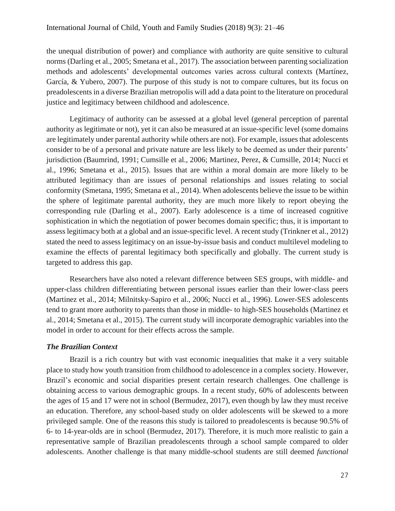the unequal distribution of power) and compliance with authority are quite sensitive to cultural norms (Darling et al., 2005; Smetana et al., 2017). The association between parenting socialization methods and adolescents' developmental outcomes varies across cultural contexts (Martínez, García, & Yubero, 2007). The purpose of this study is not to compare cultures, but its focus on preadolescents in a diverse Brazilian metropolis will add a data point to the literature on procedural justice and legitimacy between childhood and adolescence.

Legitimacy of authority can be assessed at a global level (general perception of parental authority as legitimate or not), yet it can also be measured at an issue-specific level (some domains are legitimately under parental authority while others are not). For example, issues that adolescents consider to be of a personal and private nature are less likely to be deemed as under their parents' jurisdiction (Baumrind, 1991; Cumsille et al., 2006; Martinez, Perez, & Cumsille, 2014; Nucci et al., 1996; Smetana et al., 2015). Issues that are within a moral domain are more likely to be attributed legitimacy than are issues of personal relationships and issues relating to social conformity (Smetana, 1995; Smetana et al., 2014). When adolescents believe the issue to be within the sphere of legitimate parental authority, they are much more likely to report obeying the corresponding rule (Darling et al., 2007). Early adolescence is a time of increased cognitive sophistication in which the negotiation of power becomes domain specific; thus, it is important to assess legitimacy both at a global and an issue-specific level. A recent study (Trinkner et al., 2012) stated the need to assess legitimacy on an issue-by-issue basis and conduct multilevel modeling to examine the effects of parental legitimacy both specifically and globally. The current study is targeted to address this gap.

Researchers have also noted a relevant difference between SES groups, with middle- and upper-class children differentiating between personal issues earlier than their lower-class peers (Martinez et al., 2014; Milnitsky-Sapiro et al., 2006; Nucci et al., 1996). Lower-SES adolescents tend to grant more authority to parents than those in middle- to high-SES households (Martinez et al., 2014; Smetana et al., 2015). The current study will incorporate demographic variables into the model in order to account for their effects across the sample.

### *The Brazilian Context*

Brazil is a rich country but with vast economic inequalities that make it a very suitable place to study how youth transition from childhood to adolescence in a complex society. However, Brazil's economic and social disparities present certain research challenges. One challenge is obtaining access to various demographic groups. In a recent study, 60% of adolescents between the ages of 15 and 17 were not in school (Bermudez, 2017), even though by law they must receive an education. Therefore, any school-based study on older adolescents will be skewed to a more privileged sample. One of the reasons this study is tailored to preadolescents is because 90.5% of 6- to 14-year-olds are in school (Bermudez, 2017). Therefore, it is much more realistic to gain a representative sample of Brazilian preadolescents through a school sample compared to older adolescents. Another challenge is that many middle-school students are still deemed *functional*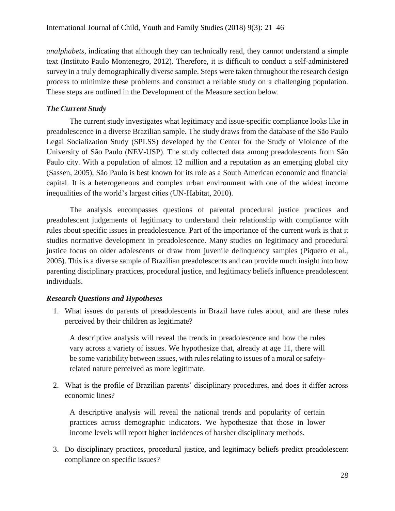*analphabets*, indicating that although they can technically read, they cannot understand a simple text (Instituto Paulo Montenegro, 2012). Therefore, it is difficult to conduct a self-administered survey in a truly demographically diverse sample. Steps were taken throughout the research design process to minimize these problems and construct a reliable study on a challenging population. These steps are outlined in the Development of the Measure section below.

# *The Current Study*

The current study investigates what legitimacy and issue-specific compliance looks like in preadolescence in a diverse Brazilian sample. The study draws from the database of the São Paulo Legal Socialization Study (SPLSS) developed by the Center for the Study of Violence of the University of São Paulo (NEV-USP). The study collected data among preadolescents from São Paulo city. With a population of almost 12 million and a reputation as an emerging global city (Sassen, 2005), São Paulo is best known for its role as a South American economic and financial capital. It is a heterogeneous and complex urban environment with one of the widest income inequalities of the world's largest cities (UN-Habitat, 2010).

The analysis encompasses questions of parental procedural justice practices and preadolescent judgements of legitimacy to understand their relationship with compliance with rules about specific issues in preadolescence. Part of the importance of the current work is that it studies normative development in preadolescence. Many studies on legitimacy and procedural justice focus on older adolescents or draw from juvenile delinquency samples (Piquero et al., 2005). This is a diverse sample of Brazilian preadolescents and can provide much insight into how parenting disciplinary practices, procedural justice, and legitimacy beliefs influence preadolescent individuals.

# *Research Questions and Hypotheses*

1. What issues do parents of preadolescents in Brazil have rules about, and are these rules perceived by their children as legitimate?

A descriptive analysis will reveal the trends in preadolescence and how the rules vary across a variety of issues. We hypothesize that, already at age 11, there will be some variability between issues, with rules relating to issues of a moral or safetyrelated nature perceived as more legitimate.

2. What is the profile of Brazilian parents' disciplinary procedures, and does it differ across economic lines?

A descriptive analysis will reveal the national trends and popularity of certain practices across demographic indicators. We hypothesize that those in lower income levels will report higher incidences of harsher disciplinary methods.

3. Do disciplinary practices, procedural justice, and legitimacy beliefs predict preadolescent compliance on specific issues?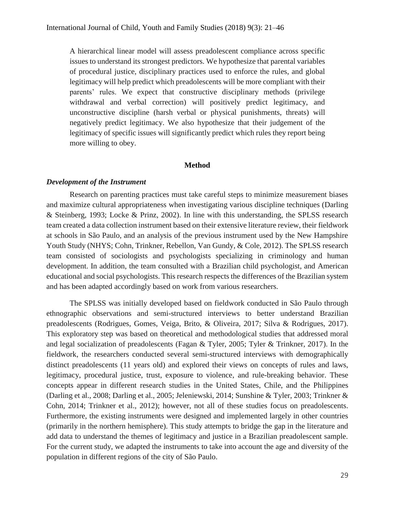A hierarchical linear model will assess preadolescent compliance across specific issues to understand its strongest predictors. We hypothesize that parental variables of procedural justice, disciplinary practices used to enforce the rules, and global legitimacy will help predict which preadolescents will be more compliant with their parents' rules. We expect that constructive disciplinary methods (privilege withdrawal and verbal correction) will positively predict legitimacy, and unconstructive discipline (harsh verbal or physical punishments, threats) will negatively predict legitimacy. We also hypothesize that their judgement of the legitimacy of specific issues will significantly predict which rules they report being more willing to obey.

#### **Method**

#### *Development of the Instrument*

Research on parenting practices must take careful steps to minimize measurement biases and maximize cultural appropriateness when investigating various discipline techniques (Darling & Steinberg, 1993; Locke & Prinz, 2002). In line with this understanding, the SPLSS research team created a data collection instrument based on their extensive literature review, their fieldwork at schools in São Paulo, and an analysis of the previous instrument used by the New Hampshire Youth Study (NHYS; Cohn, Trinkner, Rebellon, Van Gundy, & Cole, 2012). The SPLSS research team consisted of sociologists and psychologists specializing in criminology and human development. In addition, the team consulted with a Brazilian child psychologist, and American educational and social psychologists. This research respects the differences of the Brazilian system and has been adapted accordingly based on work from various researchers.

The SPLSS was initially developed based on fieldwork conducted in São Paulo through ethnographic observations and semi-structured interviews to better understand Brazilian preadolescents (Rodrigues, Gomes, Veiga, Brito, & Oliveira, 2017; Silva & Rodrigues, 2017). This exploratory step was based on theoretical and methodological studies that addressed moral and legal socialization of preadolescents (Fagan & Tyler, 2005; Tyler & Trinkner, 2017). In the fieldwork, the researchers conducted several semi-structured interviews with demographically distinct preadolescents (11 years old) and explored their views on concepts of rules and laws, legitimacy, procedural justice, trust, exposure to violence, and rule-breaking behavior. These concepts appear in different research studies in the United States, Chile, and the Philippines (Darling et al., 2008; Darling et al., 2005; Jeleniewski, 2014; Sunshine & Tyler, 2003; Trinkner & Cohn, 2014; Trinkner et al., 2012); however, not all of these studies focus on preadolescents. Furthermore, the existing instruments were designed and implemented largely in other countries (primarily in the northern hemisphere). This study attempts to bridge the gap in the literature and add data to understand the themes of legitimacy and justice in a Brazilian preadolescent sample. For the current study, we adapted the instruments to take into account the age and diversity of the population in different regions of the city of São Paulo.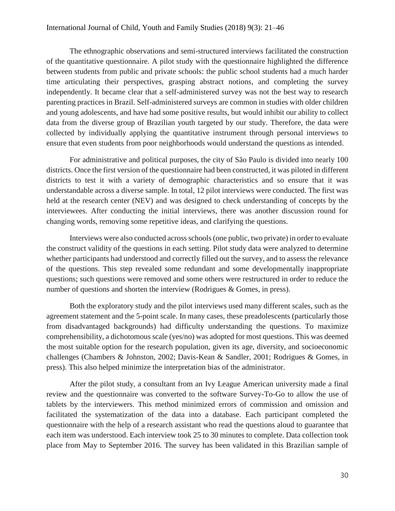#### International Journal of Child, Youth and Family Studies (2018) 9(3): 21–46

The ethnographic observations and semi-structured interviews facilitated the construction of the quantitative questionnaire. A pilot study with the questionnaire highlighted the difference between students from public and private schools: the public school students had a much harder time articulating their perspectives, grasping abstract notions, and completing the survey independently. It became clear that a self-administered survey was not the best way to research parenting practices in Brazil. Self-administered surveys are common in studies with older children and young adolescents, and have had some positive results, but would inhibit our ability to collect data from the diverse group of Brazilian youth targeted by our study. Therefore, the data were collected by individually applying the quantitative instrument through personal interviews to ensure that even students from poor neighborhoods would understand the questions as intended.

For administrative and political purposes, the city of São Paulo is divided into nearly 100 districts. Once the first version of the questionnaire had been constructed, it was piloted in different districts to test it with a variety of demographic characteristics and so ensure that it was understandable across a diverse sample. In total, 12 pilot interviews were conducted. The first was held at the research center (NEV) and was designed to check understanding of concepts by the interviewees. After conducting the initial interviews, there was another discussion round for changing words, removing some repetitive ideas, and clarifying the questions.

Interviews were also conducted across schools (one public, two private) in order to evaluate the construct validity of the questions in each setting. Pilot study data were analyzed to determine whether participants had understood and correctly filled out the survey, and to assess the relevance of the questions. This step revealed some redundant and some developmentally inappropriate questions; such questions were removed and some others were restructured in order to reduce the number of questions and shorten the interview (Rodrigues & Gomes, in press).

Both the exploratory study and the pilot interviews used many different scales, such as the agreement statement and the 5-point scale. In many cases, these preadolescents (particularly those from disadvantaged backgrounds) had difficulty understanding the questions. To maximize comprehensibility, a dichotomous scale (yes/no) was adopted for most questions. This was deemed the most suitable option for the research population, given its age, diversity, and socioeconomic challenges (Chambers & Johnston, 2002; Davis-Kean & Sandler, 2001; Rodrigues & Gomes, in press). This also helped minimize the interpretation bias of the administrator.

After the pilot study, a consultant from an Ivy League American university made a final review and the questionnaire was converted to the software Survey-To-Go to allow the use of tablets by the interviewers. This method minimized errors of commission and omission and facilitated the systematization of the data into a database. Each participant completed the questionnaire with the help of a research assistant who read the questions aloud to guarantee that each item was understood. Each interview took 25 to 30 minutes to complete. Data collection took place from May to September 2016. The survey has been validated in this Brazilian sample of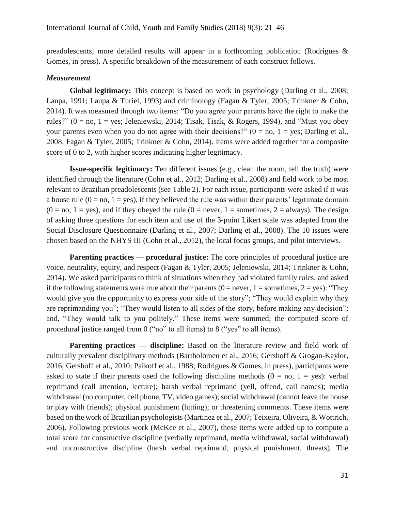preadolescents; more detailed results will appear in a forthcoming publication (Rodrigues & Gomes, in press). A specific breakdown of the measurement of each construct follows.

## *Measurement*

**Global legitimacy:** This concept is based on work in psychology (Darling et al., 2008; Laupa, 1991; Laupa & Turiel, 1993) and criminology (Fagan & Tyler, 2005; Trinkner & Cohn, 2014). It was measured through two items: "Do you agree your parents have the right to make the rules?" ( $0 = no$ ,  $1 = yes$ ; Jeleniewski, 2014; Tisak, Tisak, & Rogers, 1994), and "Must you obey your parents even when you do not agree with their decisions?"  $(0 = no, 1 = yes;$  Darling et al. 2008; Fagan & Tyler, 2005; Trinkner & Cohn, 2014). Items were added together for a composite score of 0 to 2, with higher scores indicating higher legitimacy.

**Issue-specific legitimacy:** Ten different issues (e.g., clean the room, tell the truth) were identified through the literature (Cohn et al., 2012; Darling et al., 2008) and field work to be most relevant to Brazilian preadolescents (see Table 2). For each issue, participants were asked if it was a house rule  $(0 = no, 1 = yes)$ , if they believed the rule was within their parents' legitimate domain  $(0 = no, 1 = yes)$ , and if they obeyed the rule  $(0 = never, 1 = sometimes, 2 = always)$ . The design of asking three questions for each item and use of the 3-point Likert scale was adapted from the Social Disclosure Questionnaire (Darling et al., 2007; Darling et al., 2008). The 10 issues were chosen based on the NHYS III (Cohn et al., 2012), the local focus groups, and pilot interviews.

**Parenting practices — procedural justice:** The core principles of procedural justice are voice, neutrality, equity, and respect (Fagan & Tyler, 2005; Jeleniewski, 2014; Trinkner & Cohn, 2014). We asked participants to think of situations when they had violated family rules, and asked if the following statements were true about their parents ( $0 =$  never,  $1 =$  sometimes,  $2 =$  yes): "They would give you the opportunity to express your side of the story"; "They would explain why they are reprimanding you"; "They would listen to all sides of the story, before making any decision"; and, "They would talk to you politely." These items were summed; the computed score of procedural justice ranged from 0 ("no" to all items) to 8 ("yes" to all items).

**Parenting practices — discipline:** Based on the literature review and field work of culturally prevalent disciplinary methods (Bartholomeu et al., 2016; Gershoff & Grogan-Kaylor, 2016; Gershoff et al., 2010; Paikoff et al., 1988; Rodrigues & Gomes, in press), participants were asked to state if their parents used the following discipline methods  $(0 = no, 1 = yes)$ : verbal reprimand (call attention, lecture); harsh verbal reprimand (yell, offend, call names); media withdrawal (no computer, cell phone, TV, video games); social withdrawal (cannot leave the house or play with friends); physical punishment (hitting); or threatening comments. These items were based on the work of Brazilian psychologists (Martinez et al., 2007; Teixeira, Oliveira, & Wottrich, 2006). Following previous work (McKee et al., 2007), these items were added up to compute a total score for constructive discipline (verbally reprimand, media withdrawal, social withdrawal) and unconstructive discipline (harsh verbal reprimand, physical punishment, threats). The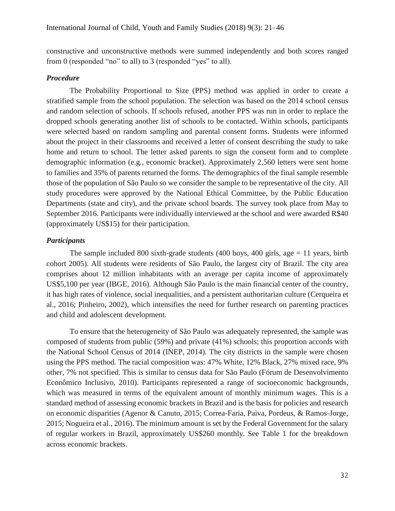constructive and unconstructive methods were summed independently and both scores ranged from 0 (responded "no" to all) to 3 (responded "yes" to all).

### *Procedure*

The Probability Proportional to Size (PPS) method was applied in order to create a stratified sample from the school population. The selection was based on the 2014 school census and random selection of schools. If schools refused, another PPS was run in order to replace the dropped schools generating another list of schools to be contacted. Within schools, participants were selected based on random sampling and parental consent forms. Students were informed about the project in their classrooms and received a letter of consent describing the study to take home and return to school. The letter asked parents to sign the consent form and to complete demographic information (e.g., economic bracket). Approximately 2,560 letters were sent home to families and 35% of parents returned the forms. The demographics of the final sample resemble those of the population of São Paulo so we consider the sample to be representative of the city. All study procedures were approved by the National Ethical Committee, by the Public Education Departments (state and city), and the private school boards. The survey took place from May to September 2016. Participants were individually interviewed at the school and were awarded R\$40 (approximately US\$15) for their participation.

#### *Participants*

The sample included 800 sixth-grade students (400 boys, 400 girls, age  $= 11$  years, birth cohort 2005). All students were residents of São Paulo, the largest city of Brazil. The city area comprises about 12 million inhabitants with an average per capita income of approximately US\$5,100 per year (IBGE, 2016). Although São Paulo is the main financial center of the country, it has high rates of violence, social inequalities, and a persistent authoritarian culture (Cerqueira et al., 2016; Pinheiro, 2002), which intensifies the need for further research on parenting practices and child and adolescent development.

To ensure that the heterogeneity of São Paulo was adequately represented, the sample was composed of students from public (59%) and private (41%) schools; this proportion accords with the National School Census of 2014 (INEP, 2014). The city districts in the sample were chosen using the PPS method. The racial composition was: 47% White, 12% Black, 27% mixed race, 9% other, 7% not specified. This is similar to census data for São Paulo (Fórum de Desenvolvimento Econômico Inclusivo, 2010). Participants represented a range of socioeconomic backgrounds, which was measured in terms of the equivalent amount of monthly minimum wages. This is a standard method of assessing economic brackets in Brazil and is the basis for policies and research on economic disparities (Agenor & Canuto, 2015; Correa-Faria, Paiva, Pordeus, & Ramos-Jorge, 2015; Nogueira et al., 2016). The minimum amount is set by the Federal Government for the salary of regular workers in Brazil, approximately US\$260 monthly. See Table 1 for the breakdown across economic brackets.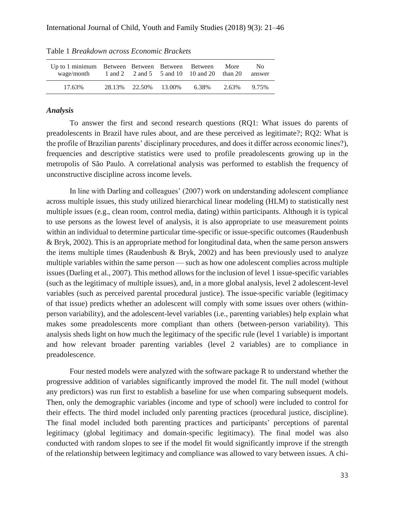| Up to 1 minimum Between Between Between Between<br>wage/month 1 and 2 2 and 5 5 and 10 10 and 20 than 20 answer |  |                                | More  | N <sub>0</sub> |
|-----------------------------------------------------------------------------------------------------------------|--|--------------------------------|-------|----------------|
| 17.63%                                                                                                          |  | 28.13\% 22.50\% 13.00\% 6.38\% | 2.63% | 9.75%          |

Table 1 *Breakdown across Economic Brackets*

#### *Analysis*

To answer the first and second research questions (RQ1: What issues do parents of preadolescents in Brazil have rules about, and are these perceived as legitimate?; RQ2: What is the profile of Brazilian parents' disciplinary procedures, and does it differ across economic lines?), frequencies and descriptive statistics were used to profile preadolescents growing up in the metropolis of São Paulo. A correlational analysis was performed to establish the frequency of unconstructive discipline across income levels.

In line with Darling and colleagues' (2007) work on understanding adolescent compliance across multiple issues, this study utilized hierarchical linear modeling (HLM) to statistically nest multiple issues (e.g., clean room, control media, dating) within participants. Although it is typical to use persons as the lowest level of analysis, it is also appropriate to use measurement points within an individual to determine particular time-specific or issue-specific outcomes (Raudenbush & Bryk, 2002). This is an appropriate method for longitudinal data, when the same person answers the items multiple times (Raudenbush  $\&$  Bryk, 2002) and has been previously used to analyze multiple variables within the same person — such as how one adolescent complies across multiple issues (Darling et al., 2007). This method allows for the inclusion of level 1 issue-specific variables (such as the legitimacy of multiple issues), and, in a more global analysis, level 2 adolescent-level variables (such as perceived parental procedural justice). The issue-specific variable (legitimacy of that issue) predicts whether an adolescent will comply with some issues over others (withinperson variability), and the adolescent-level variables (i.e., parenting variables) help explain what makes some preadolescents more compliant than others (between-person variability). This analysis sheds light on how much the legitimacy of the specific rule (level 1 variable) is important and how relevant broader parenting variables (level 2 variables) are to compliance in preadolescence.

Four nested models were analyzed with the software package R to understand whether the progressive addition of variables significantly improved the model fit. The null model (without any predictors) was run first to establish a baseline for use when comparing subsequent models. Then, only the demographic variables (income and type of school) were included to control for their effects. The third model included only parenting practices (procedural justice, discipline). The final model included both parenting practices and participants' perceptions of parental legitimacy (global legitimacy and domain-specific legitimacy). The final model was also conducted with random slopes to see if the model fit would significantly improve if the strength of the relationship between legitimacy and compliance was allowed to vary between issues. A chi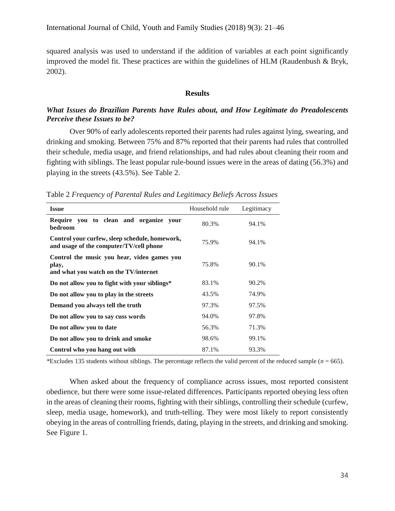squared analysis was used to understand if the addition of variables at each point significantly improved the model fit. These practices are within the guidelines of HLM (Raudenbush & Bryk, 2002).

#### **Results**

# *What Issues do Brazilian Parents have Rules about, and How Legitimate do Preadolescents Perceive these Issues to be?*

Over 90% of early adolescents reported their parents had rules against lying, swearing, and drinking and smoking. Between 75% and 87% reported that their parents had rules that controlled their schedule, media usage, and friend relationships, and had rules about cleaning their room and fighting with siblings. The least popular rule-bound issues were in the areas of dating (56.3%) and playing in the streets (43.5%). See Table 2.

Table 2 *Frequency of Parental Rules and Legitimacy Beliefs Across Issues*

| <b>Issue</b>                                                                                  | Household rule | Legitimacy |
|-----------------------------------------------------------------------------------------------|----------------|------------|
| Require you to clean and organize your<br>bedroom                                             | 80.3%          | 94.1%      |
| Control your curfew, sleep schedule, homework,<br>and usage of the computer/TV/cell phone     | 75.9%          | 94.1%      |
| Control the music you hear, video games you<br>play,<br>and what you watch on the TV/internet | 75.8%          | 90.1%      |
| Do not allow you to fight with your siblings*                                                 | 83.1%          | 90.2%      |
| Do not allow you to play in the streets                                                       | 43.5%          | 74.9%      |
| Demand you always tell the truth                                                              | 97.3%          | 97.5%      |
| Do not allow you to say cuss words                                                            | 94.0%          | 97.8%      |
| Do not allow you to date                                                                      | 56.3%          | 71.3%      |
| Do not allow you to drink and smoke                                                           | 98.6%          | 99.1%      |
| Control who you hang out with                                                                 | 87.1%          | 93.3%      |

*\*Excludes 135 students without siblings. The percentage reflects the valid percent of the reduced sample (* $n = 665$ *).* 

When asked about the frequency of compliance across issues, most reported consistent obedience, but there were some issue-related differences. Participants reported obeying less often in the areas of cleaning their rooms, fighting with their siblings, controlling their schedule (curfew, sleep, media usage, homework), and truth-telling. They were most likely to report consistently obeying in the areas of controlling friends, dating, playing in the streets, and drinking and smoking. See Figure 1.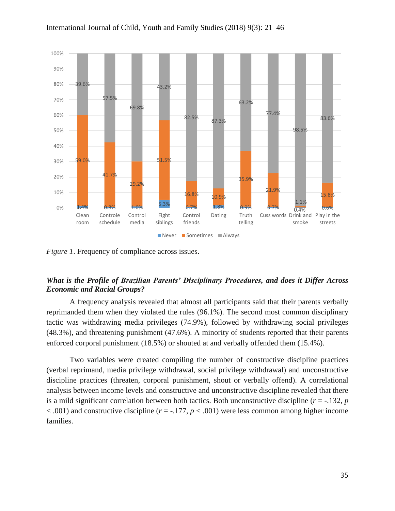

*Figure 1*. Frequency of compliance across issues.

# *What is the Profile of Brazilian Parents' Disciplinary Procedures, and does it Differ Across Economic and Racial Groups?*

A frequency analysis revealed that almost all participants said that their parents verbally reprimanded them when they violated the rules (96.1%). The second most common disciplinary tactic was withdrawing media privileges (74.9%), followed by withdrawing social privileges (48.3%), and threatening punishment (47.6%). A minority of students reported that their parents enforced corporal punishment (18.5%) or shouted at and verbally offended them (15.4%).

Two variables were created compiling the number of constructive discipline practices (verbal reprimand, media privilege withdrawal, social privilege withdrawal) and unconstructive discipline practices (threaten, corporal punishment, shout or verbally offend). A correlational analysis between income levels and constructive and unconstructive discipline revealed that there is a mild significant correlation between both tactics. Both unconstructive discipline  $(r = -132, p)$  $< .001$ ) and constructive discipline ( $r = -.177$ ,  $p < .001$ ) were less common among higher income families.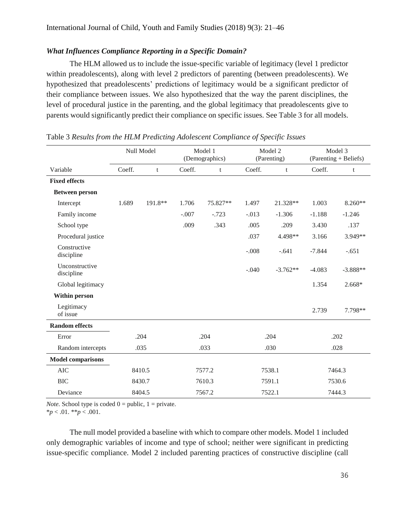# *What Influences Compliance Reporting in a Specific Domain?*

The HLM allowed us to include the issue-specific variable of legitimacy (level 1 predictor within preadolescents), along with level 2 predictors of parenting (between preadolescents). We hypothesized that preadolescents' predictions of legitimacy would be a significant predictor of their compliance between issues. We also hypothesized that the way the parent disciplines, the level of procedural justice in the parenting, and the global legitimacy that preadolescents give to parents would significantly predict their compliance on specific issues. See Table 3 for all models.

|                              | Null Model |         | Model 1<br>(Demographics) |          | Model 2<br>(Parenting) |            | Model 3<br>(Parenting + Beliefs) |            |
|------------------------------|------------|---------|---------------------------|----------|------------------------|------------|----------------------------------|------------|
| Variable                     | Coeff.     | t       | Coeff.                    | t        | Coeff.                 | t          | Coeff.                           | t          |
| <b>Fixed effects</b>         |            |         |                           |          |                        |            |                                  |            |
| <b>Between person</b>        |            |         |                           |          |                        |            |                                  |            |
| Intercept                    | 1.689      | 191.8** | 1.706                     | 75.827** | 1.497                  | 21.328**   | 1.003                            | $8.260**$  |
| Family income                |            |         | $-.007$                   | $-.723$  | $-.013$                | $-1.306$   | $-1.188$                         | $-1.246$   |
| School type                  |            |         | .009                      | .343     | .005                   | .209       | 3.430                            | .137       |
| Procedural justice           |            |         |                           |          | .037                   | 4.498**    | 3.166                            | 3.949**    |
| Constructive<br>discipline   |            |         |                           |          | $-.008$                | $-.641$    | $-7.844$                         | $-.651$    |
| Unconstructive<br>discipline |            |         |                           |          | $-.040$                | $-3.762**$ | $-4.083$                         | $-3.888**$ |
| Global legitimacy            |            |         |                           |          |                        |            | 1.354                            | 2.668*     |
| <b>Within person</b>         |            |         |                           |          |                        |            |                                  |            |
| Legitimacy<br>of issue       |            |         |                           |          |                        |            | 2.739                            | 7.798**    |
| <b>Random effects</b>        |            |         |                           |          |                        |            |                                  |            |
| Error                        |            | .204    | .204                      |          | .204                   |            | .202                             |            |
| Random intercepts            |            | .035    | .033                      |          | .030                   |            | .028                             |            |
| <b>Model comparisons</b>     |            |         |                           |          |                        |            |                                  |            |
| <b>AIC</b>                   |            | 8410.5  | 7577.2                    |          | 7538.1                 |            | 7464.3                           |            |
| <b>BIC</b>                   |            | 8430.7  | 7610.3                    |          | 7591.1                 |            | 7530.6                           |            |
| Deviance                     |            | 8404.5  | 7567.2                    |          | 7522.1                 |            | 7444.3                           |            |

# Table 3 *Results from the HLM Predicting Adolescent Compliance of Specific Issues*

*Note.* School type is coded  $0 = \text{public}$ ,  $1 = \text{private}$ .

\**p* < .01. \*\**p* < .001.

The null model provided a baseline with which to compare other models. Model 1 included only demographic variables of income and type of school; neither were significant in predicting issue-specific compliance. Model 2 included parenting practices of constructive discipline (call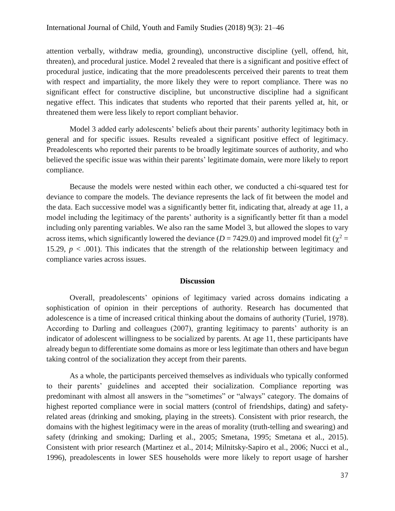attention verbally, withdraw media, grounding), unconstructive discipline (yell, offend, hit, threaten), and procedural justice. Model 2 revealed that there is a significant and positive effect of procedural justice, indicating that the more preadolescents perceived their parents to treat them with respect and impartiality, the more likely they were to report compliance. There was no significant effect for constructive discipline, but unconstructive discipline had a significant negative effect. This indicates that students who reported that their parents yelled at, hit, or threatened them were less likely to report compliant behavior.

Model 3 added early adolescents' beliefs about their parents' authority legitimacy both in general and for specific issues. Results revealed a significant positive effect of legitimacy. Preadolescents who reported their parents to be broadly legitimate sources of authority, and who believed the specific issue was within their parents' legitimate domain, were more likely to report compliance.

Because the models were nested within each other, we conducted a chi-squared test for deviance to compare the models. The deviance represents the lack of fit between the model and the data. Each successive model was a significantly better fit, indicating that, already at age 11, a model including the legitimacy of the parents' authority is a significantly better fit than a model including only parenting variables. We also ran the same Model 3, but allowed the slopes to vary across items, which significantly lowered the deviance ( $D = 7429.0$ ) and improved model fit ( $\chi^2 =$ 15.29,  $p < .001$ ). This indicates that the strength of the relationship between legitimacy and compliance varies across issues.

#### **Discussion**

Overall, preadolescents' opinions of legitimacy varied across domains indicating a sophistication of opinion in their perceptions of authority. Research has documented that adolescence is a time of increased critical thinking about the domains of authority (Turiel, 1978). According to Darling and colleagues (2007), granting legitimacy to parents' authority is an indicator of adolescent willingness to be socialized by parents. At age 11, these participants have already begun to differentiate some domains as more or less legitimate than others and have begun taking control of the socialization they accept from their parents.

As a whole, the participants perceived themselves as individuals who typically conformed to their parents' guidelines and accepted their socialization. Compliance reporting was predominant with almost all answers in the "sometimes" or "always" category. The domains of highest reported compliance were in social matters (control of friendships, dating) and safetyrelated areas (drinking and smoking, playing in the streets). Consistent with prior research, the domains with the highest legitimacy were in the areas of morality (truth-telling and swearing) and safety (drinking and smoking; Darling et al., 2005; Smetana, 1995; Smetana et al., 2015). Consistent with prior research (Martinez et al., 2014; Milnitsky-Sapiro et al., 2006; Nucci et al., 1996), preadolescents in lower SES households were more likely to report usage of harsher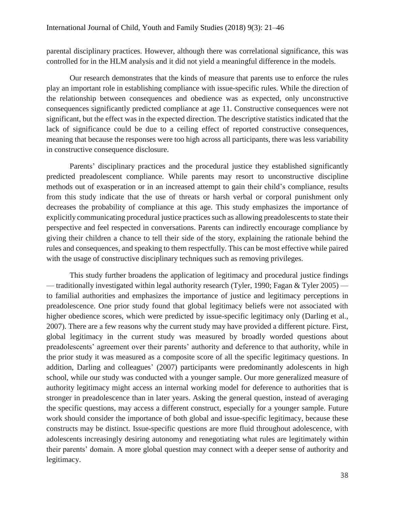parental disciplinary practices. However, although there was correlational significance, this was controlled for in the HLM analysis and it did not yield a meaningful difference in the models.

Our research demonstrates that the kinds of measure that parents use to enforce the rules play an important role in establishing compliance with issue-specific rules. While the direction of the relationship between consequences and obedience was as expected, only unconstructive consequences significantly predicted compliance at age 11. Constructive consequences were not significant, but the effect was in the expected direction. The descriptive statistics indicated that the lack of significance could be due to a ceiling effect of reported constructive consequences, meaning that because the responses were too high across all participants, there was less variability in constructive consequence disclosure.

Parents' disciplinary practices and the procedural justice they established significantly predicted preadolescent compliance. While parents may resort to unconstructive discipline methods out of exasperation or in an increased attempt to gain their child's compliance, results from this study indicate that the use of threats or harsh verbal or corporal punishment only decreases the probability of compliance at this age. This study emphasizes the importance of explicitly communicating procedural justice practices such as allowing preadolescents to state their perspective and feel respected in conversations. Parents can indirectly encourage compliance by giving their children a chance to tell their side of the story, explaining the rationale behind the rules and consequences, and speaking to them respectfully. This can be most effective while paired with the usage of constructive disciplinary techniques such as removing privileges.

This study further broadens the application of legitimacy and procedural justice findings — traditionally investigated within legal authority research (Tyler, 1990; Fagan & Tyler 2005) to familial authorities and emphasizes the importance of justice and legitimacy perceptions in preadolescence. One prior study found that global legitimacy beliefs were not associated with higher obedience scores, which were predicted by issue-specific legitimacy only (Darling et al., 2007). There are a few reasons why the current study may have provided a different picture. First, global legitimacy in the current study was measured by broadly worded questions about preadolescents' agreement over their parents' authority and deference to that authority, while in the prior study it was measured as a composite score of all the specific legitimacy questions. In addition, Darling and colleagues' (2007) participants were predominantly adolescents in high school, while our study was conducted with a younger sample. Our more generalized measure of authority legitimacy might access an internal working model for deference to authorities that is stronger in preadolescence than in later years. Asking the general question, instead of averaging the specific questions, may access a different construct, especially for a younger sample. Future work should consider the importance of both global and issue-specific legitimacy, because these constructs may be distinct. Issue-specific questions are more fluid throughout adolescence, with adolescents increasingly desiring autonomy and renegotiating what rules are legitimately within their parents' domain. A more global question may connect with a deeper sense of authority and legitimacy.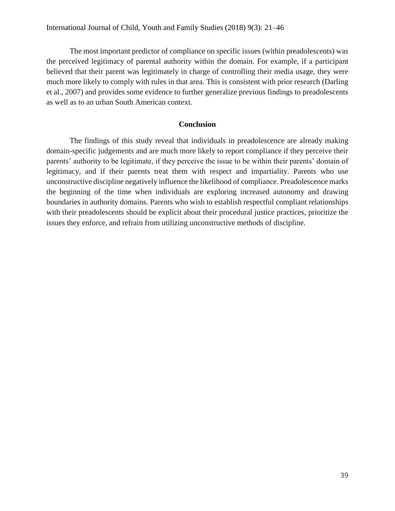The most important predictor of compliance on specific issues (within preadolescents) was the perceived legitimacy of parental authority within the domain. For example, if a participant believed that their parent was legitimately in charge of controlling their media usage, they were much more likely to comply with rules in that area. This is consistent with prior research (Darling et al., 2007) and provides some evidence to further generalize previous findings to preadolescents as well as to an urban South American context.

### **Conclusion**

The findings of this study reveal that individuals in preadolescence are already making domain-specific judgements and are much more likely to report compliance if they perceive their parents' authority to be legitimate, if they perceive the issue to be within their parents' domain of legitimacy, and if their parents treat them with respect and impartiality. Parents who use unconstructive discipline negatively influence the likelihood of compliance. Preadolescence marks the beginning of the time when individuals are exploring increased autonomy and drawing boundaries in authority domains. Parents who wish to establish respectful compliant relationships with their preadolescents should be explicit about their procedural justice practices, prioritize the issues they enforce, and refrain from utilizing unconstructive methods of discipline.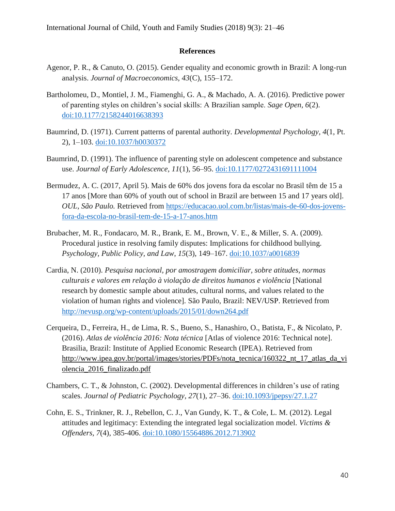### **References**

- Agenor, P. R., & Canuto, O. (2015). Gender equality and economic growth in Brazil: A long-run analysis. *Journal of Macroeconomics, 43*(C), 155–172.
- Bartholomeu, D., Montiel, J. M., Fiamenghi, G. A., & Machado, A. A. (2016). Predictive power of parenting styles on children's social skills: A Brazilian sample. *Sage Open, 6*(2). [doi:10.1177/2158244016638393](https://doi.org/10.1177/2158244016638393)
- Baumrind, D. (1971). Current patterns of parental authority. *Developmental Psychology, 4*(1, Pt. 2), 1–103. [doi:10.1037/h0030372](http://dx.doi.org/10.1037/h0030372)
- Baumrind, D. (1991). The influence of parenting style on adolescent competence and substance use. *Journal of Early Adolescence, 11*(1), 56–95. [doi:10.1177/0272431691111004](http://dx.doi.org/10.1177/0272431691111004)
- Bermudez, A. C. (2017, April 5). Mais de 60% dos jovens fora da escolar no Brasil têm de 15 a 17 anos [More than 60% of youth out of school in Brazil are between 15 and 17 years old]. *OUL, São Paulo.* Retrieved from [https://educacao.uol.com.br/listas/mais-de-60-dos-jovens](https://educacao.uol.com.br/listas/mais-de-60-dos-jovens-fora-da-escola-no-brasil-tem-de-15-a-17-anos.htm)[fora-da-escola-no-brasil-tem-de-15-a-17-anos.htm](https://educacao.uol.com.br/listas/mais-de-60-dos-jovens-fora-da-escola-no-brasil-tem-de-15-a-17-anos.htm)
- Brubacher, M. R., Fondacaro, M. R., Brank, E. M., Brown, V. E., & Miller, S. A. (2009). Procedural justice in resolving family disputes: Implications for childhood bullying. *Psychology, Public Policy, and Law*, *15*(3), 149–167. [doi:10.1037/a0016839](https://doi.org/10.1037/a0016839)
- Cardia, N. (2010). *Pesquisa nacional, por amostragem domiciliar, sobre atitudes, normas culturais e valores em relação à violação de direitos humanos e violência* [National research by domestic sample about atitudes, cultural norms, and values related to the violation of human rights and violence]*.* São Paulo, Brazil: NEV/USP. Retrieved from <http://nevusp.org/wp-content/uploads/2015/01/down264.pdf>
- Cerqueira, D., Ferreira, H., de Lima, R. S., Bueno, S., Hanashiro, O., Batista, F., & Nicolato, P. (2016). *Atlas de violência 2016: Nota técnica* [Atlas of violence 2016: Technical note]. Brasilia, Brazil: Institute of Applied Economic Research (IPEA). Retrieved from [http://www.ipea.gov.br/portal/images/stories/PDFs/nota\\_tecnica/160322\\_nt\\_17\\_atlas\\_da\\_vi](http://www.ipea.gov.br/portal/images/stories/PDFs/nota_tecnica/160322_nt_17_atlas_da_violencia_2016_finalizado.pdf) [olencia\\_2016\\_finalizado.pdf](http://www.ipea.gov.br/portal/images/stories/PDFs/nota_tecnica/160322_nt_17_atlas_da_violencia_2016_finalizado.pdf)
- Chambers, C. T., & Johnston, C. (2002). Developmental differences in children's use of rating scales. *Journal of Pediatric Psychology, 27*(1), 27–36. [doi:10.1093/jpepsy/27.1.27](https://doi.org/10.1093/jpepsy/27.1.27)
- Cohn, E. S., Trinkner, R. J., Rebellon, C. J., Van Gundy, K. T., & Cole, L. M. (2012). Legal attitudes and legitimacy: Extending the integrated legal socialization model. *Victims & Offenders, 7*(4), 385-406. [doi:10.1080/15564886.2012.713902](https://doi.org/10.1080/15564886.2012.713902)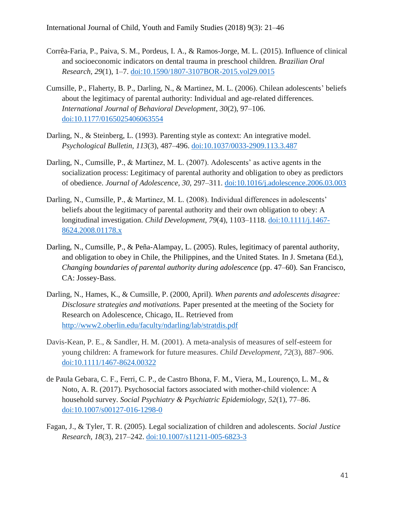- Corrêa-Faria, P., Paiva, S. M., Pordeus, I. A., & Ramos-Jorge, M. L. (2015). Influence of clinical and socioeconomic indicators on dental trauma in preschool children. *Brazilian Oral Research, 29*(1), 1–7. [doi:10.1590/1807-3107BOR-2015.vol29.0015](https://doi.org/10.1590/1807-3107BOR-2015.vol29.0015)
- Cumsille, P., Flaherty, B. P., Darling, N., & Martinez, M. L. (2006). Chilean adolescents' beliefs about the legitimacy of parental authority: Individual and age-related differences. *International Journal of Behavioral Development*, *30*(2), 97–106. [doi:10.1177/0165025406063554](https://doi.org/10.1177/0165025406063554)
- Darling, N., & Steinberg, L. (1993). Parenting style as context: An integrative model. *Psychological Bulletin, 113*(3), 487–496. [doi:10.1037/0033-2909.113.3.487](https://doi.org/10.1037/0033-2909.113.3.487)
- Darling, N., Cumsille, P., & Martinez, M. L. (2007). Adolescents' as active agents in the socialization process: Legitimacy of parental authority and obligation to obey as predictors of obedience. *Journal of Adolescence, 30,* 297–311. [doi:10.1016/j.adolescence.2006.03.003](https://doi.org/10.1016/j.adolescence.2006.03.003)
- Darling, N., Cumsille, P., & Martinez, M. L. (2008). Individual differences in adolescents' beliefs about the legitimacy of parental authority and their own obligation to obey: A longitudinal investigation. *Child Development, 79*(4), 1103–1118. [doi:10.1111/j.1467-](https://doi.org/10.1111/j.1467-8624.2008.01178.x) [8624.2008.01178.x](https://doi.org/10.1111/j.1467-8624.2008.01178.x)
- Darling, N., Cumsille, P., & Peña-Alampay, L. (2005). Rules, legitimacy of parental authority, and obligation to obey in Chile, the Philippines, and the United States. In J. Smetana (Ed.), *Changing boundaries of parental authority during adolescence* (pp. 47–60)*.* San Francisco, CA: Jossey-Bass.
- Darling, N., Hames, K., & Cumsille, P. (2000, April). *When parents and adolescents disagree: Disclosure strategies and motivations.* Paper presented at the meeting of the Society for Research on Adolescence, Chicago, IL. Retrieved from <http://www2.oberlin.edu/faculty/ndarling/lab/stratdis.pdf>
- Davis-Kean, P. E., & Sandler, H. M. (2001). A meta-analysis of measures of self-esteem for young children: A framework for future measures. *Child Development, 72*(3), 887–906. [doi:10.1111/1467-8624.00322](https://doi.org/10.1111/1467-8624.00322)
- de Paula Gebara, C. F., Ferri, C. P., de Castro Bhona, F. M., Viera, M., Lourenço, L. M., & Noto, A. R. (2017). Psychosocial factors associated with mother-child violence: A household survey. *Social Psychiatry & Psychiatric Epidemiology, 52*(1), 77–86. [doi:10.1007/s00127-016-1298-0](https://doi.org/10.1007/s00127-016-1298-0)
- Fagan, J., & Tyler, T. R. (2005). Legal socialization of children and adolescents. *Social Justice Research, 18*(3), 217–242. [doi:10.1007/s11211-005-6823-3](https://doi.org/10.1007/s11211-005-6823-3)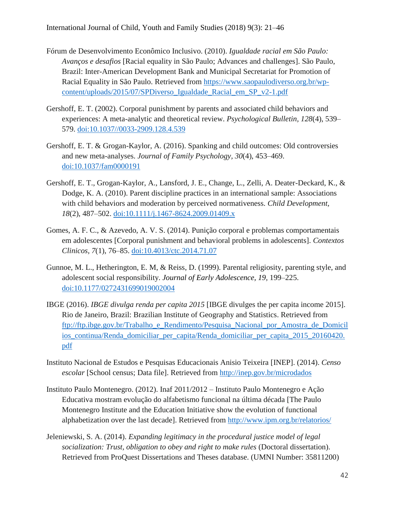- Fórum de Desenvolvimento Econômico Inclusivo. (2010). *Igualdade racial em São Paulo: Avanços e desafios* [Racial equality in São Paulo; Advances and challenges]. São Paulo, Brazil: Inter-American Development Bank and Municipal Secretariat for Promotion of Racial Equality in São Paulo. Retrieved from [https://www.saopaulodiverso.org.br/wp](https://www.saopaulodiverso.org.br/wp-content/uploads/2015/07/SPDiverso_Igualdade_Racial_em_SP_v2-1.pdf)[content/uploads/2015/07/SPDiverso\\_Igualdade\\_Racial\\_em\\_SP\\_v2-1.pdf](https://www.saopaulodiverso.org.br/wp-content/uploads/2015/07/SPDiverso_Igualdade_Racial_em_SP_v2-1.pdf)
- Gershoff, E. T. (2002). Corporal punishment by parents and associated child behaviors and experiences: A meta-analytic and theoretical review. *Psychological Bulletin, 128*(4), 539– 579. [doi:10.1037//0033-2909.128.4.539](https://doi.org/10.1037/0033-2909.128.4.539)
- Gershoff, E. T. & Grogan-Kaylor, A. (2016). Spanking and child outcomes: Old controversies and new meta-analyses. *Journal of Family Psychology, 30*(4), 453–469. [doi:10.1037/fam0000191](https://doi.org/10.1037/fam0000191)
- Gershoff, E. T., Grogan-Kaylor, A., Lansford, J. E., Change, L., Zelli, A. Deater-Deckard, K., & Dodge, K. A. (2010). Parent discipline practices in an international sample: Associations with child behaviors and moderation by perceived normativeness. *Child Development, 18*(2), 487–502. [doi:10.1111/j.1467-8624.2009.01409.x](https://doi.org/10.1111/j.1467-8624.2009.01409.x)
- Gomes, A. F. C., & Azevedo, A. V. S. (2014). Punição corporal e problemas comportamentais em adolescentes [Corporal punishment and behavioral problems in adolescents]. *Contextos Clinicos, 7*(1), 76–85. [doi:10.4013/ctc.2014.71.07](https://doi.org/10.4013/ctc.2014.71.07)
- Gunnoe, M. L., Hetherington, E. M, & Reiss, D. (1999). Parental religiosity, parenting style, and adolescent social responsibility. *Journal of Early Adolescence, 19,* 199–225. [doi:10.1177/0272431699019002004](https://doi.org/10.1177/0272431699019002004)
- IBGE (2016). *IBGE divulga renda per capita 2015* [IBGE divulges the per capita income 2015]. Rio de Janeiro, Brazil: Brazilian Institute of Geography and Statistics. Retrieved from [ftp://ftp.ibge.gov.br/Trabalho\\_e\\_Rendimento/Pesquisa\\_Nacional\\_por\\_Amostra\\_de\\_Domicil](ftp://ftp.ibge.gov.br/Trabalho_e_Rendimento/Pesquisa_Nacional_por_Amostra_de_Domicilios_continua/Renda_domiciliar_per_capita/Renda_domiciliar_per_capita_2015_20160420.pdf) ios continua/Renda domiciliar per capita/Renda domiciliar per capita 2015 20160420. [pdf](ftp://ftp.ibge.gov.br/Trabalho_e_Rendimento/Pesquisa_Nacional_por_Amostra_de_Domicilios_continua/Renda_domiciliar_per_capita/Renda_domiciliar_per_capita_2015_20160420.pdf)
- Instituto Nacional de Estudos e Pesquisas Educacionais Anisio Teixeira [INEP]. (2014). *Censo escolar* [School census; Data file]. Retrieved from<http://inep.gov.br/microdados>
- Instituto Paulo Montenegro. (2012). Inaf 2011/2012 Instituto Paulo Montenegro e Ação Educativa mostram evolução do alfabetismo funcional na última década [The Paulo Montenegro Institute and the Education Initiative show the evolution of functional alphabetization over the last decade]. Retrieved from<http://www.ipm.org.br/relatorios/>
- Jeleniewski, S. A. (2014). *Expanding legitimacy in the procedural justice model of legal socialization: Trust, obligation to obey and right to make rules* (Doctoral dissertation). Retrieved from ProQuest Dissertations and Theses database. (UMNI Number: 35811200)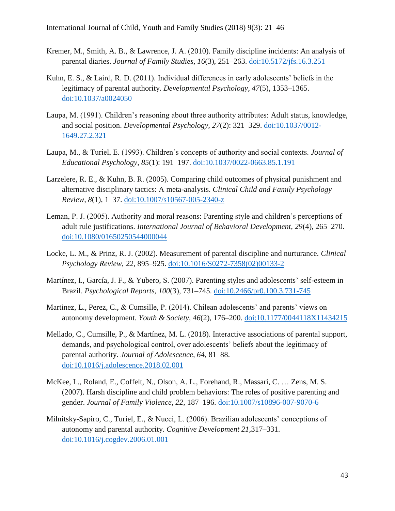- Kremer, M., Smith, A. B., & Lawrence, J. A. (2010). Family discipline incidents: An analysis of parental diaries. *Journal of Family Studies, 16*(3), 251–263. [doi:10.5172/jfs.16.3.251](http://dx.doi.org/10.5172/jfs.16.3.251)
- Kuhn, E. S., & Laird, R. D. (2011). Individual differences in early adolescents' beliefs in the legitimacy of parental authority. *Developmental Psychology, 47*(5), 1353–1365. [doi:10.1037/a0024050](http://dx.doi.org/10.1037/a0024050)
- Laupa, M. (1991). Children's reasoning about three authority attributes: Adult status, knowledge, and social position. *Developmental Psychology, 27*(2): 321–329. [doi:10.1037/0012-](http://dx.doi.org/10.1037/0012-1649.27.2.321) [1649.27.2.321](http://dx.doi.org/10.1037/0012-1649.27.2.321)
- Laupa, M., & Turiel, E. (1993). Children's concepts of authority and social contexts. *Journal of Educational Psychology, 85*(1): 191–197. [doi:10.1037/0022-0663.85.1.191](http://dx.doi.org/10.1037/0022-0663.85.1.191)
- Larzelere, R. E., & Kuhn, B. R. (2005). Comparing child outcomes of physical punishment and alternative disciplinary tactics: A meta-analysis. *Clinical Child and Family Psychology Review, 8*(1), 1–37. [doi:10.1007/s10567-005-2340-z](http://dx.doi.org/10.1007/s10567-005-2340-z)
- Leman, P. J. (2005). Authority and moral reasons: Parenting style and children's perceptions of adult rule justifications. *International Journal of Behavioral Development, 29*(4), 265–270. [doi:10.1080/01650250544000044](http://dx.doi.org/10.1080/01650250544000044)
- Locke, L. M., & Prinz, R. J. (2002). Measurement of parental discipline and nurturance. *Clinical Psychology Review, 22*, 895–925. [doi:10.1016/S0272-7358\(02\)00133-2](http://dx.doi.org/10.1016/S0272-7358(02)00133-2)
- Martínez, I., García, J. F., & Yubero, S. (2007). Parenting styles and adolescents' self-esteem in Brazil. *Psychological Reports, 100*(3), 731–745. [doi:10.2466/pr0.100.3.731-745](http://dx.doi.org/10.2466/pr0.100.3.731-745)
- Martinez, L., Perez, C., & Cumsille, P. (2014). Chilean adolescents' and parents' views on autonomy development. *Youth & Society, 46*(2), 176–200. [doi:10.1177/0044118X11434215](http://dx.doi.org/10.1177/0044118X11434215)
- Mellado, C., Cumsille, P., & Martínez, M. L. (2018). Interactive associations of parental support, demands, and psychological control, over adolescents' beliefs about the legitimacy of parental authority. *Journal of Adolescence, 64*, 81–88. [doi:10.1016/j.adolescence.2018.02.001](http://dx.doi.org/10.1016/j.adolescence.2018.02.001)
- McKee, L., Roland, E., Coffelt, N., Olson, A. L., Forehand, R., Massari, C. … Zens, M. S. (2007). Harsh discipline and child problem behaviors: The roles of positive parenting and gender. *Journal of Family Violence, 22*, 187–196. [doi:10.1007/s10896-007-9070-6](http://dx.doi.org/10.1007/s10896-007-9070-6)
- Milnitsky-Sapiro, C., Turiel, E., & Nucci, L. (2006). Brazilian adolescents' conceptions of autonomy and parental authority. *Cognitive Development 21,*317–331. [doi:10.1016/j.cogdev.2006.01.001](http://dx.doi.org/10.1016/j.cogdev.2006.01.001)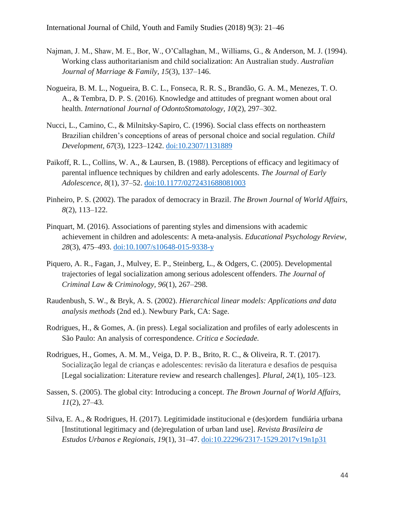- Najman, J. M., Shaw, M. E., Bor, W., O'Callaghan, M., Williams, G., & Anderson, M. J. (1994). Working class authoritarianism and child socialization: An Australian study. *Australian Journal of Marriage & Family, 15*(3), 137–146.
- Nogueira, B. M. L., Nogueira, B. C. L., Fonseca, R. R. S., Brandão, G. A. M., Menezes, T. O. A., & Tembra, D. P. S. (2016). Knowledge and attitudes of pregnant women about oral health. *International Journal of OdontoStomatology, 10*(2), 297–302.
- Nucci, L., Camino, C., & Milnitsky-Sapiro, C. (1996). Social class effects on northeastern Brazilian children's conceptions of areas of personal choice and social regulation. *Child Development, 67*(3), 1223–1242. [doi:10.2307/1131889](http://dx.doi.org/10.2307/1131889)
- Paikoff, R. L., Collins, W. A., & Laursen, B. (1988). Perceptions of efficacy and legitimacy of parental influence techniques by children and early adolescents. *The Journal of Early Adolescence*, *8*(1), 37–52. [doi:10.1177/0272431688081003](http://dx.doi.org/10.1177/0272431688081003)
- Pinheiro, P. S. (2002). The paradox of democracy in Brazil. *The Brown Journal of World Affairs, 8*(2), 113–122.
- Pinquart, M. (2016). Associations of parenting styles and dimensions with academic achievement in children and adolescents: A meta-analysis. *Educational Psychology Review, 28*(3), 475–493. [doi:10.1007/s10648-015-9338-y](http://dx.doi.org/10.1007/s10648-015-9338-y)
- Piquero, A. R., Fagan, J., Mulvey, E. P., Steinberg, L., & Odgers, C. (2005). Developmental trajectories of legal socialization among serious adolescent offenders. *The Journal of Criminal Law & Criminology, 96*(1), 267–298.
- Raudenbush, S. W., & Bryk, A. S. (2002). *Hierarchical linear models: Applications and data analysis methods* (2nd ed.). Newbury Park, CA: Sage.
- Rodrigues, H., & Gomes, A. (in press). Legal socialization and profiles of early adolescents in São Paulo: An analysis of correspondence. *Critica e Sociedade.*
- Rodrigues, H., Gomes, A. M. M., Veiga, D. P. B., Brito, R. C., & Oliveira, R. T. (2017). Socialização legal de crianças e adolescentes: revisão da literatura e desafios de pesquisa [Legal socialization: Literature review and research challenges]. *Plural, 24*(1), 105–123.
- Sassen, S. (2005). The global city: Introducing a concept. *The Brown Journal of World Affairs, 11*(2), 27–43.
- Silva, E. A., & Rodrigues, H. (2017). Legitimidade institucional e (des)ordem fundiária urbana [Institutional legitimacy and (de)regulation of urban land use]. *Revista Brasileira de Estudos Urbanos e Regionais, 19*(1), 31–47. [doi:10.22296/2317-1529.2017v19n1p31](http://dx.doi.org/10.22296/2317-1529.2017v19n1p31)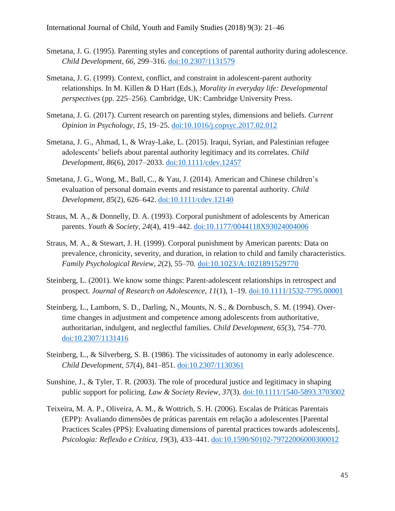- Smetana, J. G. (1995). Parenting styles and conceptions of parental authority during adolescence. *Child Development*, *66*, 299–316. [doi:10.2307/1131579](http://dx.doi.org/10.2307/1131579)
- Smetana, J. G. (1999). Context, conflict, and constraint in adolescent-parent authority relationships. In M. Killen & D Hart (Eds.), *Morality in everyday life: Developmental perspectives* (pp. 225–256)*.* Cambridge, UK: Cambridge University Press.
- Smetana, J. G. (2017). Current research on parenting styles, dimensions and beliefs. *Current Opinion in Psychology, 15,* 19–25. [doi:10.1016/j.copsyc.2017.02.012](http://dx.doi.org/10.1016/j.copsyc.2017.02.012)
- Smetana, J. G., Ahmad, I., & Wray-Lake, L. (2015). Iraqui, Syrian, and Palestinian refugee adolescents' beliefs about parental authority legitimacy and its correlates. *Child Development, 86*(6), 2017–2033. [doi:10.1111/cdev.12457](http://dx.doi.org/10.1111/cdev.12457)
- Smetana, J. G., Wong, M., Ball, C., & Yau, J. (2014). American and Chinese children's evaluation of personal domain events and resistance to parental authority. *Child Development, 85*(2), 626–642. [doi:10.1111/cdev.12140](http://dx.doi.org/10.1111/cdev.12140)
- Straus, M. A., & Donnelly, D. A. (1993). Corporal punishment of adolescents by American parents. *Youth & Society, 24*(4), 419–442. [doi:10.1177/0044118X93024004006](http://dx.doi.org/10.1177/0044118X93024004006)
- Straus, M. A., & Stewart, J. H. (1999). Corporal punishment by American parents: Data on prevalence, chronicity, severity, and duration, in relation to child and family characteristics. *Family Psychological Review, 2*(2), 55–70. [doi:10.1023/A:1021891529770](http://dx.doi.org/10.1023/A:1021891529770)
- Steinberg, L. (2001). We know some things: Parent-adolescent relationships in retrospect and prospect. *Journal of Research on Adolescence, 11*(1), 1–19. [doi:10.1111/1532-7795.00001](http://dx.doi.org/10.1111/1532-7795.00001)
- Steinberg, L., Lamborn, S. D., Darling, N., Mounts, N. S., & Dornbusch, S. M. (1994). Overtime changes in adjustment and competence among adolescents from authoritative, authoritarian, indulgent, and neglectful families. *Child Development, 65*(3), 754–770. [doi:10.2307/1131416](http://dx.doi.org/10.2307/1131416)
- Steinberg, L., & Silverberg, S. B. (1986). The vicissitudes of autonomy in early adolescence. *Child Development, 57*(4), 841–851. [doi:10.2307/1130361](http://dx.doi.org/10.2307/1130361)
- Sunshine, J., & Tyler, T. R. (2003). The role of procedural justice and legitimacy in shaping public support for policing. *Law & Society Review, 37*(3). [doi:10.1111/1540-5893.3703002](http://dx.doi.org/10.1111/1540-5893.3703002)
- Teixeira, M. A. P., Oliveira, A. M., & Wottrich, S. H. (2006). Escalas de Práticas Parentais (EPP): Avaliando dimensões de práticas parentais em relação a adolescentes [Parental Practices Scales (PPS): Evaluating dimensions of parental practices towards adolescents]. *Psicologia: Reflexão e Crítica, 19*(3), 433–441. [doi:10.1590/S0102-79722006000300012](http://dx.doi.org/10.1590/S0102-79722006000300012)